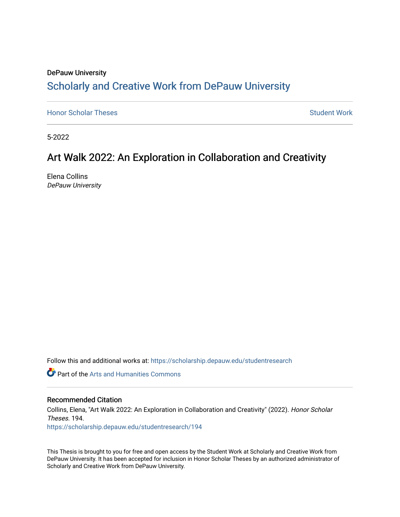# DePauw University Scholarly and [Creative Work from DePauw Univ](https://scholarship.depauw.edu/)ersity

**[Honor Scholar Theses](https://scholarship.depauw.edu/studentresearch) [Student Work](https://scholarship.depauw.edu/studentwork) Student Work Student Work** 

5-2022

# Art Walk 2022: An Exploration in Collaboration and Creativity

Elena Collins DePauw University

Follow this and additional works at: [https://scholarship.depauw.edu/studentresearch](https://scholarship.depauw.edu/studentresearch?utm_source=scholarship.depauw.edu%2Fstudentresearch%2F194&utm_medium=PDF&utm_campaign=PDFCoverPages)

**C** Part of the Arts and Humanities Commons

#### Recommended Citation

Collins, Elena, "Art Walk 2022: An Exploration in Collaboration and Creativity" (2022). Honor Scholar Theses. 194. [https://scholarship.depauw.edu/studentresearch/194](https://scholarship.depauw.edu/studentresearch/194?utm_source=scholarship.depauw.edu%2Fstudentresearch%2F194&utm_medium=PDF&utm_campaign=PDFCoverPages)

This Thesis is brought to you for free and open access by the Student Work at Scholarly and Creative Work from DePauw University. It has been accepted for inclusion in Honor Scholar Theses by an authorized administrator of Scholarly and Creative Work from DePauw University.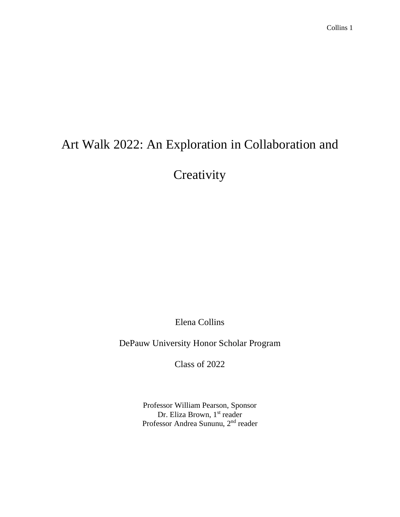# Art Walk 2022: An Exploration in Collaboration and

**Creativity** 

Elena Collins

DePauw University Honor Scholar Program

Class of 2022

Professor William Pearson, Sponsor Dr. Eliza Brown, 1st reader Professor Andrea Sununu, 2<sup>nd</sup> reader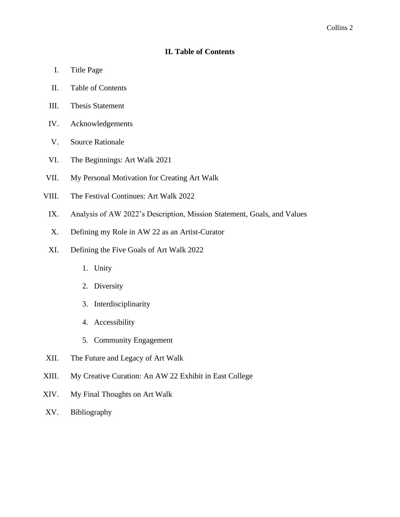## **II. Table of Contents**

- I. Title Page
- II. Table of Contents
- III. Thesis Statement
- IV. Acknowledgements
- V. Source Rationale
- VI. The Beginnings: Art Walk 2021
- VII. My Personal Motivation for Creating Art Walk
- VIII. The Festival Continues: Art Walk 2022
	- IX. Analysis of AW 2022's Description, Mission Statement, Goals, and Values
	- X. Defining my Role in AW 22 as an Artist-Curator
	- XI. Defining the Five Goals of Art Walk 2022
		- 1. Unity
		- 2. Diversity
		- 3. Interdisciplinarity
		- 4. Accessibility
		- 5. Community Engagement
- XII. The Future and Legacy of Art Walk
- XIII. My Creative Curation: An AW 22 Exhibit in East College
- XIV. My Final Thoughts on Art Walk
- XV. Bibliography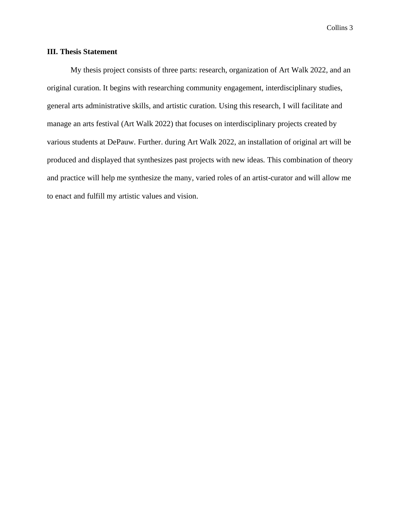### **III. Thesis Statement**

My thesis project consists of three parts: research, organization of Art Walk 2022, and an original curation. It begins with researching community engagement, interdisciplinary studies, general arts administrative skills, and artistic curation. Using this research, I will facilitate and manage an arts festival (Art Walk 2022) that focuses on interdisciplinary projects created by various students at DePauw. Further. during Art Walk 2022, an installation of original art will be produced and displayed that synthesizes past projects with new ideas. This combination of theory and practice will help me synthesize the many, varied roles of an artist-curator and will allow me to enact and fulfill my artistic values and vision.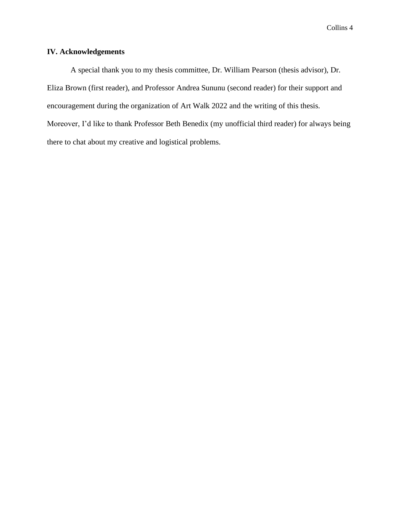## **IV. Acknowledgements**

A special thank you to my thesis committee, Dr. William Pearson (thesis advisor), Dr. Eliza Brown (first reader), and Professor Andrea Sununu (second reader) for their support and encouragement during the organization of Art Walk 2022 and the writing of this thesis. Moreover, I'd like to thank Professor Beth Benedix (my unofficial third reader) for always being there to chat about my creative and logistical problems.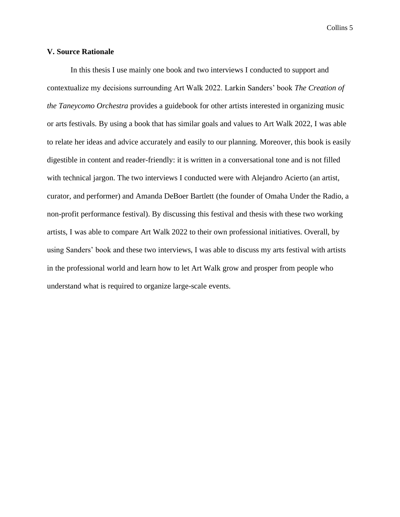#### **V. Source Rationale**

In this thesis I use mainly one book and two interviews I conducted to support and contextualize my decisions surrounding Art Walk 2022. Larkin Sanders' book *The Creation of the Taneycomo Orchestra* provides a guidebook for other artists interested in organizing music or arts festivals. By using a book that has similar goals and values to Art Walk 2022, I was able to relate her ideas and advice accurately and easily to our planning. Moreover, this book is easily digestible in content and reader-friendly: it is written in a conversational tone and is not filled with technical jargon. The two interviews I conducted were with Alejandro Acierto (an artist, curator, and performer) and Amanda DeBoer Bartlett (the founder of Omaha Under the Radio, a non-profit performance festival). By discussing this festival and thesis with these two working artists, I was able to compare Art Walk 2022 to their own professional initiatives. Overall, by using Sanders' book and these two interviews, I was able to discuss my arts festival with artists in the professional world and learn how to let Art Walk grow and prosper from people who understand what is required to organize large-scale events.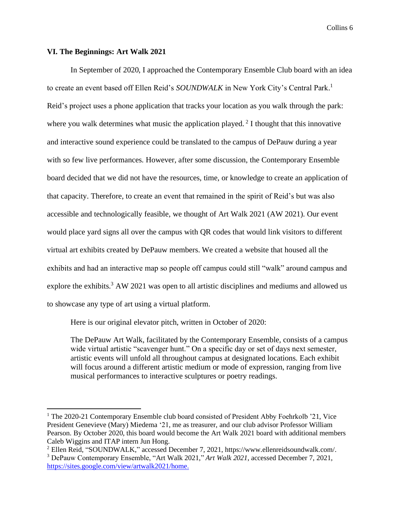#### **VI. The Beginnings: Art Walk 2021**

In September of 2020, I approached the Contemporary Ensemble Club board with an idea to create an event based off Ellen Reid's *SOUNDWALK* in New York City's Central Park. 1 Reid's project uses a phone application that tracks your location as you walk through the park: where you walk determines what music the application played.<sup>2</sup> I thought that this innovative and interactive sound experience could be translated to the campus of DePauw during a year with so few live performances. However, after some discussion, the Contemporary Ensemble board decided that we did not have the resources, time, or knowledge to create an application of that capacity. Therefore, to create an event that remained in the spirit of Reid's but was also accessible and technologically feasible, we thought of Art Walk 2021 (AW 2021). Our event would place yard signs all over the campus with QR codes that would link visitors to different virtual art exhibits created by DePauw members. We created a website that housed all the exhibits and had an interactive map so people off campus could still "walk" around campus and explore the exhibits.<sup>3</sup> AW 2021 was open to all artistic disciplines and mediums and allowed us to showcase any type of art using a virtual platform.

Here is our original elevator pitch, written in October of 2020:

The DePauw Art Walk, facilitated by the Contemporary Ensemble, consists of a campus wide virtual artistic "scavenger hunt." On a specific day or set of days next semester, artistic events will unfold all throughout campus at designated locations. Each exhibit will focus around a different artistic medium or mode of expression, ranging from live musical performances to interactive sculptures or poetry readings.

<sup>&</sup>lt;sup>1</sup> The 2020-21 Contemporary Ensemble club board consisted of President Abby Foehrkolb '21, Vice President Genevieve (Mary) Miedema '21, me as treasurer, and our club advisor Professor William Pearson. By October 2020, this board would become the Art Walk 2021 board with additional members Caleb Wiggins and ITAP intern Jun Hong.

<sup>2</sup> Ellen Reid, "SOUNDWALK," accessed December 7, 2021, https://www.ellenreidsoundwalk.com/.

<sup>3</sup> DePauw Contemporary Ensemble, "Art Walk 2021," *Art Walk 2021*, accessed December 7, 2021, [https://sites.google.com/view/artwalk2021/home.](https://sites.google.com/view/artwalk2021/home)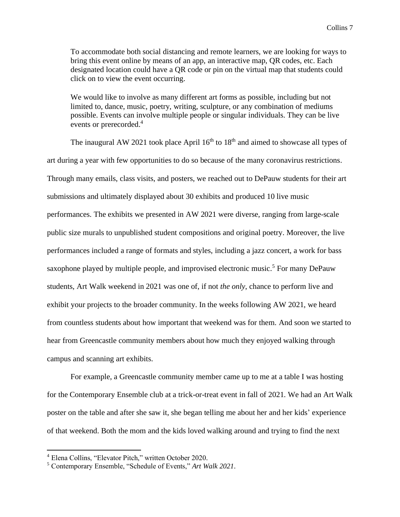To accommodate both social distancing and remote learners, we are looking for ways to bring this event online by means of an app, an interactive map, QR codes, etc. Each designated location could have a QR code or pin on the virtual map that students could click on to view the event occurring.

We would like to involve as many different art forms as possible, including but not limited to, dance, music, poetry, writing, sculpture, or any combination of mediums possible. Events can involve multiple people or singular individuals. They can be live events or prerecorded.<sup>4</sup>

The inaugural AW 2021 took place April  $16<sup>th</sup>$  to  $18<sup>th</sup>$  and aimed to showcase all types of art during a year with few opportunities to do so because of the many coronavirus restrictions. Through many emails, class visits, and posters, we reached out to DePauw students for their art submissions and ultimately displayed about 30 exhibits and produced 10 live music performances. The exhibits we presented in AW 2021 were diverse, ranging from large-scale public size murals to unpublished student compositions and original poetry. Moreover, the live performances included a range of formats and styles, including a jazz concert, a work for bass saxophone played by multiple people, and improvised electronic music.<sup>5</sup> For many DePauw students, Art Walk weekend in 2021 was one of, if not *the only*, chance to perform live and exhibit your projects to the broader community. In the weeks following AW 2021, we heard from countless students about how important that weekend was for them. And soon we started to hear from Greencastle community members about how much they enjoyed walking through campus and scanning art exhibits.

For example, a Greencastle community member came up to me at a table I was hosting for the Contemporary Ensemble club at a trick-or-treat event in fall of 2021. We had an Art Walk poster on the table and after she saw it, she began telling me about her and her kids' experience of that weekend. Both the mom and the kids loved walking around and trying to find the next

<sup>4</sup> Elena Collins, "Elevator Pitch," written October 2020.

<sup>5</sup> Contemporary Ensemble, "Schedule of Events," *Art Walk 2021*.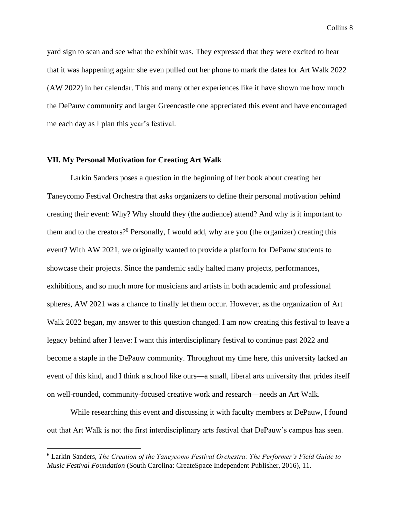yard sign to scan and see what the exhibit was. They expressed that they were excited to hear that it was happening again: she even pulled out her phone to mark the dates for Art Walk 2022 (AW 2022) in her calendar. This and many other experiences like it have shown me how much the DePauw community and larger Greencastle one appreciated this event and have encouraged me each day as I plan this year's festival.

#### **VII. My Personal Motivation for Creating Art Walk**

Larkin Sanders poses a question in the beginning of her book about creating her Taneycomo Festival Orchestra that asks organizers to define their personal motivation behind creating their event: Why? Why should they (the audience) attend? And why is it important to them and to the creators?<sup>6</sup> Personally, I would add, why are you (the organizer) creating this event? With AW 2021, we originally wanted to provide a platform for DePauw students to showcase their projects. Since the pandemic sadly halted many projects, performances, exhibitions, and so much more for musicians and artists in both academic and professional spheres, AW 2021 was a chance to finally let them occur. However, as the organization of Art Walk 2022 began, my answer to this question changed. I am now creating this festival to leave a legacy behind after I leave: I want this interdisciplinary festival to continue past 2022 and become a staple in the DePauw community. Throughout my time here, this university lacked an event of this kind, and I think a school like ours—a small, liberal arts university that prides itself on well-rounded, community-focused creative work and research—needs an Art Walk.

While researching this event and discussing it with faculty members at DePauw, I found out that Art Walk is not the first interdisciplinary arts festival that DePauw's campus has seen.

<sup>6</sup> Larkin Sanders, *The Creation of the Taneycomo Festival Orchestra: The Performer's Field Guide to Music Festival Foundation* (South Carolina: CreateSpace Independent Publisher, 2016), 11.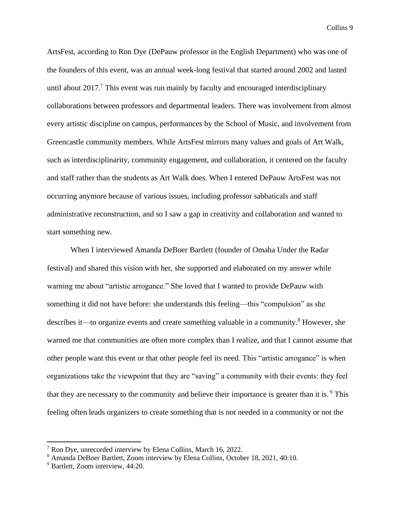ArtsFest, according to Ron Dye (DePauw professor in the English Department) who was one of the founders of this event, was an annual week-long festival that started around 2002 and lasted until about  $2017<sup>7</sup>$ . This event was run mainly by faculty and encouraged interdisciplinary collaborations between professors and departmental leaders. There was involvement from almost every artistic discipline on campus, performances by the School of Music, and involvement from Greencastle community members. While ArtsFest mirrors many values and goals of Art Walk, such as interdisciplinarity, community engagement, and collaboration, it centered on the faculty and staff rather than the students as Art Walk does. When I entered DePauw ArtsFest was not occurring anymore because of various issues, including professor sabbaticals and staff administrative reconstruction, and so I saw a gap in creativity and collaboration and wanted to start something new.

When I interviewed Amanda DeBoer Bartlett (founder of Omaha Under the Radar festival) and shared this vision with her, she supported and elaborated on my answer while warning me about "artistic arrogance." She loved that I wanted to provide DePauw with something it did not have before: she understands this feeling—this "compulsion" as she describes it—to organize events and create something valuable in a community. <sup>8</sup> However, she warned me that communities are often more complex than I realize, and that I cannot assume that other people want this event or that other people feel its need. This "artistic arrogance" is when organizations take the viewpoint that they are "saving" a community with their events: they feel that they are necessary to the community and believe their importance is greater than it is.<sup>9</sup> This feeling often leads organizers to create something that is not needed in a community or not the

<sup>7</sup> Ron Dye, unrecorded interview by Elena Collins, March 16, 2022.

<sup>8</sup> Amanda DeBoer Bartlett, Zoom interview by Elena Collins, October 18, 2021, 40:10.

<sup>9</sup> Bartlett, Zoom interview, 44:20.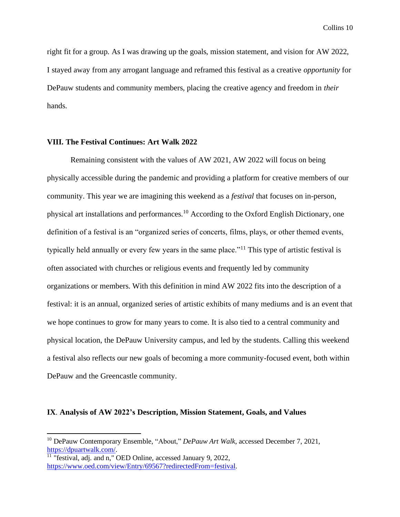right fit for a group. As I was drawing up the goals, mission statement, and vision for AW 2022, I stayed away from any arrogant language and reframed this festival as a creative *opportunity* for DePauw students and community members, placing the creative agency and freedom in *their*  hands.

#### **VIII. The Festival Continues: Art Walk 2022**

Remaining consistent with the values of AW 2021, AW 2022 will focus on being physically accessible during the pandemic and providing a platform for creative members of our community. This year we are imagining this weekend as a *festival* that focuses on in-person, physical art installations and performances.<sup>10</sup> According to the Oxford English Dictionary, one definition of a festival is an "organized series of concerts, films, plays, or other themed events, typically held annually or every few years in the same place."<sup>11</sup> This type of artistic festival is often associated with churches or religious events and frequently led by community organizations or members. With this definition in mind AW 2022 fits into the description of a festival: it is an annual, organized series of artistic exhibits of many mediums and is an event that we hope continues to grow for many years to come. It is also tied to a central community and physical location, the DePauw University campus, and led by the students. Calling this weekend a festival also reflects our new goals of becoming a more community-focused event, both within DePauw and the Greencastle community.

#### **IX**. **Analysis of AW 2022's Description, Mission Statement, Goals, and Values**

<sup>10</sup> DePauw Contemporary Ensemble, "About," *DePauw Art Walk*, accessed December 7, 2021, [https://dpuartwalk.com/.](https://dpuartwalk.com/)

 $11$  "festival, adj. and n," OED Online, accessed January 9, 2022, [https://www.oed.com/view/Entry/69567?redirectedFrom=festival.](https://www.oed.com/view/Entry/69567?redirectedFrom=festival)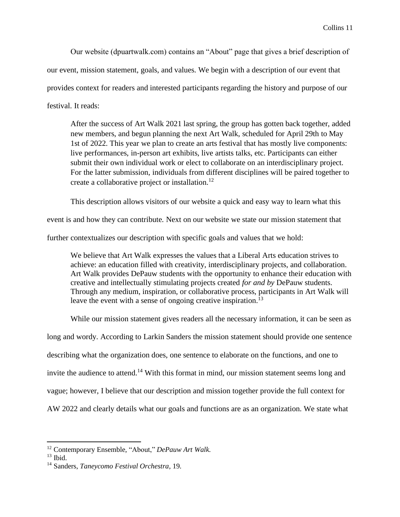Our website (dpuartwalk.com) contains an "About" page that gives a brief description of our event, mission statement, goals, and values. We begin with a description of our event that provides context for readers and interested participants regarding the history and purpose of our festival. It reads:

After the success of Art Walk 2021 last spring, the group has gotten back together, added new members, and begun planning the next Art Walk, scheduled for April 29th to May 1st of 2022. This year we plan to create an arts festival that has mostly live components: live performances, in-person art exhibits, live artists talks, etc. Participants can either submit their own individual work or elect to collaborate on an interdisciplinary project. For the latter submission, individuals from different disciplines will be paired together to create a collaborative project or installation.<sup>12</sup>

This description allows visitors of our website a quick and easy way to learn what this

event is and how they can contribute. Next on our website we state our mission statement that

further contextualizes our description with specific goals and values that we hold:

We believe that Art Walk expresses the values that a Liberal Arts education strives to achieve: an education filled with creativity, interdisciplinary projects, and collaboration. Art Walk provides DePauw students with the opportunity to enhance their education with creative and intellectually stimulating projects created *for and by* DePauw students. Through any medium, inspiration, or collaborative process, participants in Art Walk will leave the event with a sense of ongoing creative inspiration.<sup>13</sup>

While our mission statement gives readers all the necessary information, it can be seen as long and wordy. According to Larkin Sanders the mission statement should provide one sentence describing what the organization does, one sentence to elaborate on the functions, and one to invite the audience to attend.<sup>14</sup> With this format in mind, our mission statement seems long and vague; however, I believe that our description and mission together provide the full context for AW 2022 and clearly details what our goals and functions are as an organization. We state what

<sup>12</sup> Contemporary Ensemble, "About," *DePauw Art Walk*.

 $13$  Ibid.

<sup>14</sup> Sanders, *Taneycomo Festival Orchestra,* 19.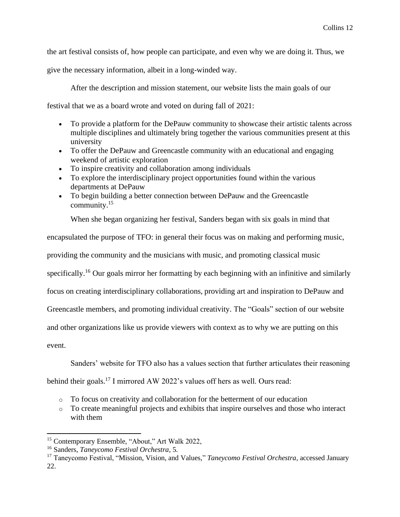the art festival consists of, how people can participate, and even why we are doing it. Thus, we

give the necessary information, albeit in a long-winded way.

After the description and mission statement, our website lists the main goals of our

festival that we as a board wrote and voted on during fall of 2021:

- To provide a platform for the DePauw community to showcase their artistic talents across multiple disciplines and ultimately bring together the various communities present at this university
- To offer the DePauw and Greencastle community with an educational and engaging weekend of artistic exploration
- To inspire creativity and collaboration among individuals
- To explore the interdisciplinary project opportunities found within the various departments at DePauw
- To begin building a better connection between DePauw and the Greencastle community.<sup>15</sup>

When she began organizing her festival, Sanders began with six goals in mind that

encapsulated the purpose of TFO: in general their focus was on making and performing music,

providing the community and the musicians with music, and promoting classical music

specifically.<sup>16</sup> Our goals mirror her formatting by each beginning with an infinitive and similarly

focus on creating interdisciplinary collaborations, providing art and inspiration to DePauw and

Greencastle members, and promoting individual creativity. The "Goals" section of our website

and other organizations like us provide viewers with context as to why we are putting on this

event.

Sanders' website for TFO also has a values section that further articulates their reasoning

behind their goals.<sup>17</sup> I mirrored AW 2022's values off hers as well. Ours read:

- o To focus on creativity and collaboration for the betterment of our education
- o To create meaningful projects and exhibits that inspire ourselves and those who interact with them

<sup>15</sup> Contemporary Ensemble, "About," Art Walk 2022,

<sup>16</sup> Sanders, *Taneycomo Festival Orchestra,* 5.

<sup>17</sup> Taneycomo Festival, "Mission, Vision, and Values," *Taneycomo Festival Orchestra*, accessed January 22.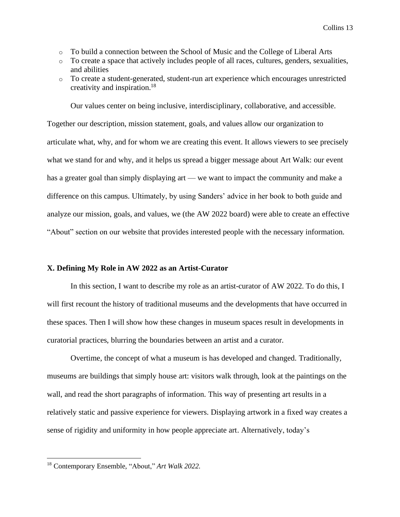- o To build a connection between the School of Music and the College of Liberal Arts
- o To create a space that actively includes people of all races, cultures, genders, sexualities, and abilities
- o To create a student-generated, student-run art experience which encourages unrestricted creativity and inspiration. 18

Our values center on being inclusive, interdisciplinary, collaborative, and accessible. Together our description, mission statement, goals, and values allow our organization to articulate what, why, and for whom we are creating this event. It allows viewers to see precisely what we stand for and why, and it helps us spread a bigger message about Art Walk: our event has a greater goal than simply displaying art — we want to impact the community and make a difference on this campus. Ultimately, by using Sanders' advice in her book to both guide and analyze our mission, goals, and values, we (the AW 2022 board) were able to create an effective "About" section on our website that provides interested people with the necessary information.

#### **X. Defining My Role in AW 2022 as an Artist-Curator**

In this section, I want to describe my role as an artist-curator of AW 2022. To do this, I will first recount the history of traditional museums and the developments that have occurred in these spaces. Then I will show how these changes in museum spaces result in developments in curatorial practices, blurring the boundaries between an artist and a curator.

Overtime, the concept of what a museum is has developed and changed. Traditionally, museums are buildings that simply house art: visitors walk through, look at the paintings on the wall, and read the short paragraphs of information. This way of presenting art results in a relatively static and passive experience for viewers. Displaying artwork in a fixed way creates a sense of rigidity and uniformity in how people appreciate art. Alternatively, today's

<sup>18</sup> Contemporary Ensemble, "About," *Art Walk 2022*.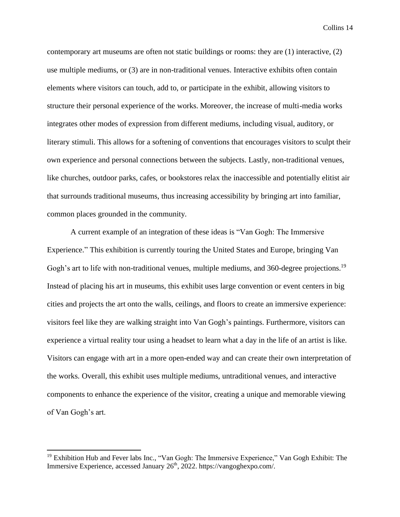contemporary art museums are often not static buildings or rooms: they are (1) interactive, (2) use multiple mediums, or (3) are in non-traditional venues. Interactive exhibits often contain elements where visitors can touch, add to, or participate in the exhibit, allowing visitors to structure their personal experience of the works. Moreover, the increase of multi-media works integrates other modes of expression from different mediums, including visual, auditory, or literary stimuli. This allows for a softening of conventions that encourages visitors to sculpt their own experience and personal connections between the subjects. Lastly, non-traditional venues, like churches, outdoor parks, cafes, or bookstores relax the inaccessible and potentially elitist air that surrounds traditional museums, thus increasing accessibility by bringing art into familiar, common places grounded in the community.

A current example of an integration of these ideas is "Van Gogh: The Immersive Experience." This exhibition is currently touring the United States and Europe, bringing Van Gogh's art to life with non-traditional venues, multiple mediums, and 360-degree projections.<sup>19</sup> Instead of placing his art in museums, this exhibit uses large convention or event centers in big cities and projects the art onto the walls, ceilings, and floors to create an immersive experience: visitors feel like they are walking straight into Van Gogh's paintings. Furthermore, visitors can experience a virtual reality tour using a headset to learn what a day in the life of an artist is like. Visitors can engage with art in a more open-ended way and can create their own interpretation of the works. Overall, this exhibit uses multiple mediums, untraditional venues, and interactive components to enhance the experience of the visitor, creating a unique and memorable viewing of Van Gogh's art.

<sup>&</sup>lt;sup>19</sup> Exhibition Hub and Fever labs Inc., "Van Gogh: The Immersive Experience," Van Gogh Exhibit: The Immersive Experience, accessed January 26<sup>th</sup>, 2022. https://vangoghexpo.com/.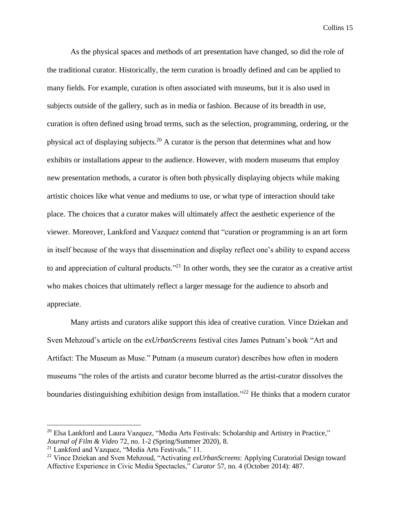As the physical spaces and methods of art presentation have changed, so did the role of the traditional curator. Historically, the term curation is broadly defined and can be applied to many fields. For example, curation is often associated with museums, but it is also used in subjects outside of the gallery, such as in media or fashion. Because of its breadth in use, curation is often defined using broad terms, such as the selection, programming, ordering, or the physical act of displaying subjects.<sup>20</sup> A curator is the person that determines what and how exhibits or installations appear to the audience. However, with modern museums that employ new presentation methods, a curator is often both physically displaying objects while making artistic choices like what venue and mediums to use, or what type of interaction should take place. The choices that a curator makes will ultimately affect the aesthetic experience of the viewer. Moreover, Lankford and Vazquez contend that "curation or programming is an art form in itself because of the ways that dissemination and display reflect one's ability to expand access to and appreciation of cultural products."<sup>21</sup> In other words, they see the curator as a creative artist who makes choices that ultimately reflect a larger message for the audience to absorb and appreciate.

Many artists and curators alike support this idea of creative curation. Vince Dziekan and Sven Mehzoud's article on the *exUrbanScreens* festival cites James Putnam's book "Art and Artifact: The Museum as Muse." Putnam (a museum curator) describes how often in modern museums "the roles of the artists and curator become blurred as the artist-curator dissolves the boundaries distinguishing exhibition design from installation."<sup>22</sup> He thinks that a modern curator

<sup>&</sup>lt;sup>20</sup> Elsa Lankford and Laura Vazquez, "Media Arts Festivals: Scholarship and Artistry in Practice," *Journal of Film & Video* 72, no. 1-2 (Spring/Summer 2020), 8.

<sup>&</sup>lt;sup>21</sup> Lankford and Vazquez, "Media Arts Festivals," 11.

<sup>22</sup> Vince Dziekan and Sven Mehzoud, "Activating *exUrbanScreens*: Applying Curatorial Design toward Affective Experience in Civic Media Spectacles," *Curator* 57, no. 4 (October 2014): 487.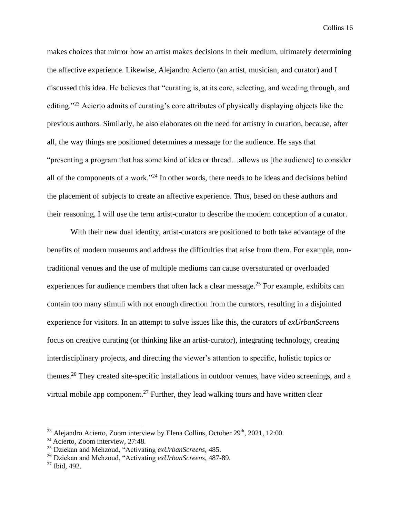makes choices that mirror how an artist makes decisions in their medium, ultimately determining the affective experience. Likewise, Alejandro Acierto (an artist, musician, and curator) and I discussed this idea. He believes that "curating is, at its core, selecting, and weeding through, and editing."<sup>23</sup> Acierto admits of curating's core attributes of physically displaying objects like the previous authors. Similarly, he also elaborates on the need for artistry in curation, because, after all, the way things are positioned determines a message for the audience. He says that "presenting a program that has some kind of idea or thread…allows us [the audience] to consider all of the components of a work."<sup>24</sup> In other words, there needs to be ideas and decisions behind the placement of subjects to create an affective experience. Thus, based on these authors and their reasoning, I will use the term artist-curator to describe the modern conception of a curator.

With their new dual identity, artist-curators are positioned to both take advantage of the benefits of modern museums and address the difficulties that arise from them. For example, nontraditional venues and the use of multiple mediums can cause oversaturated or overloaded experiences for audience members that often lack a clear message.<sup>25</sup> For example, exhibits can contain too many stimuli with not enough direction from the curators, resulting in a disjointed experience for visitors. In an attempt to solve issues like this, the curators of *exUrbanScreens*  focus on creative curating (or thinking like an artist-curator), integrating technology, creating interdisciplinary projects, and directing the viewer's attention to specific, holistic topics or themes.<sup>26</sup> They created site-specific installations in outdoor venues, have video screenings, and a virtual mobile app component.<sup>27</sup> Further, they lead walking tours and have written clear

 $^{23}$  Alejandro Acierto, Zoom interview by Elena Collins, October 29<sup>th</sup>, 2021, 12:00.

<sup>24</sup> Acierto, Zoom interview, 27:48.

<sup>25</sup> Dziekan and Mehzoud, "Activating *exUrbanScreens*, 485.

<sup>26</sup> Dziekan and Mehzoud, "Activating *exUrbanScreens*, 487-89.

 $27$  Ibid, 492.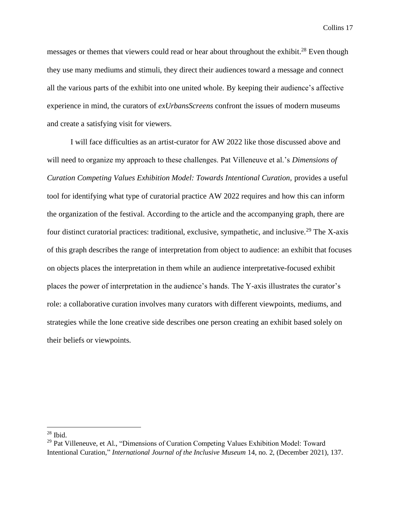messages or themes that viewers could read or hear about throughout the exhibit.<sup>28</sup> Even though they use many mediums and stimuli, they direct their audiences toward a message and connect all the various parts of the exhibit into one united whole. By keeping their audience's affective experience in mind, the curators of *exUrbansScreens* confront the issues of modern museums and create a satisfying visit for viewers.

I will face difficulties as an artist-curator for AW 2022 like those discussed above and will need to organize my approach to these challenges. Pat Villeneuve et al.'s *Dimensions of Curation Competing Values Exhibition Model: Towards Intentional Curation,* provides a useful tool for identifying what type of curatorial practice AW 2022 requires and how this can inform the organization of the festival. According to the article and the accompanying graph, there are four distinct curatorial practices: traditional, exclusive, sympathetic, and inclusive.<sup>29</sup> The X-axis of this graph describes the range of interpretation from object to audience: an exhibit that focuses on objects places the interpretation in them while an audience interpretative-focused exhibit places the power of interpretation in the audience's hands. The Y-axis illustrates the curator's role: a collaborative curation involves many curators with different viewpoints, mediums, and strategies while the lone creative side describes one person creating an exhibit based solely on their beliefs or viewpoints.

 $28$  Ibid.

<sup>&</sup>lt;sup>29</sup> Pat Villeneuve, et Al., "Dimensions of Curation Competing Values Exhibition Model: Toward Intentional Curation," *International Journal of the Inclusive Museum* 14, no. 2, (December 2021), 137.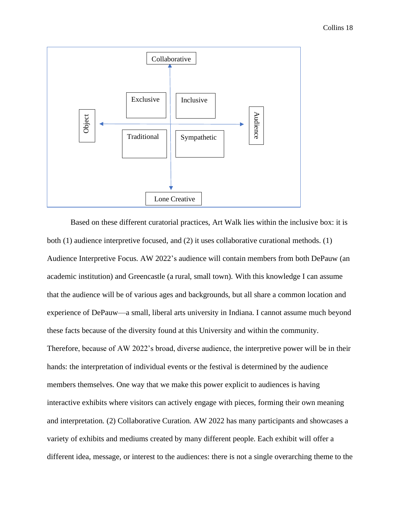

Based on these different curatorial practices, Art Walk lies within the inclusive box: it is both (1) audience interpretive focused, and (2) it uses collaborative curational methods. (1) Audience Interpretive Focus*.* AW 2022's audience will contain members from both DePauw (an academic institution) and Greencastle (a rural, small town). With this knowledge I can assume that the audience will be of various ages and backgrounds, but all share a common location and experience of DePauw—a small, liberal arts university in Indiana. I cannot assume much beyond these facts because of the diversity found at this University and within the community. Therefore, because of AW 2022's broad, diverse audience, the interpretive power will be in their hands: the interpretation of individual events or the festival is determined by the audience members themselves. One way that we make this power explicit to audiences is having interactive exhibits where visitors can actively engage with pieces, forming their own meaning and interpretation. (2) Collaborative Curation*.* AW 2022 has many participants and showcases a variety of exhibits and mediums created by many different people. Each exhibit will offer a different idea, message, or interest to the audiences: there is not a single overarching theme to the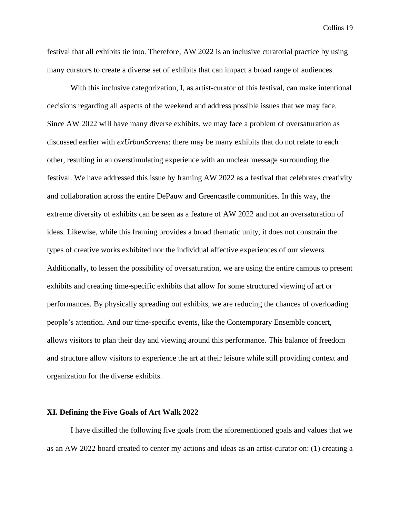festival that all exhibits tie into. Therefore, AW 2022 is an inclusive curatorial practice by using many curators to create a diverse set of exhibits that can impact a broad range of audiences.

With this inclusive categorization, I, as artist-curator of this festival, can make intentional decisions regarding all aspects of the weekend and address possible issues that we may face. Since AW 2022 will have many diverse exhibits, we may face a problem of oversaturation as discussed earlier with *exUrbanScreens*: there may be many exhibits that do not relate to each other, resulting in an overstimulating experience with an unclear message surrounding the festival. We have addressed this issue by framing AW 2022 as a festival that celebrates creativity and collaboration across the entire DePauw and Greencastle communities. In this way, the extreme diversity of exhibits can be seen as a feature of AW 2022 and not an oversaturation of ideas. Likewise, while this framing provides a broad thematic unity, it does not constrain the types of creative works exhibited nor the individual affective experiences of our viewers. Additionally, to lessen the possibility of oversaturation, we are using the entire campus to present exhibits and creating time-specific exhibits that allow for some structured viewing of art or performances. By physically spreading out exhibits, we are reducing the chances of overloading people's attention. And our time-specific events, like the Contemporary Ensemble concert, allows visitors to plan their day and viewing around this performance. This balance of freedom and structure allow visitors to experience the art at their leisure while still providing context and organization for the diverse exhibits.

#### **XI. Defining the Five Goals of Art Walk 2022**

I have distilled the following five goals from the aforementioned goals and values that we as an AW 2022 board created to center my actions and ideas as an artist-curator on: (1) creating a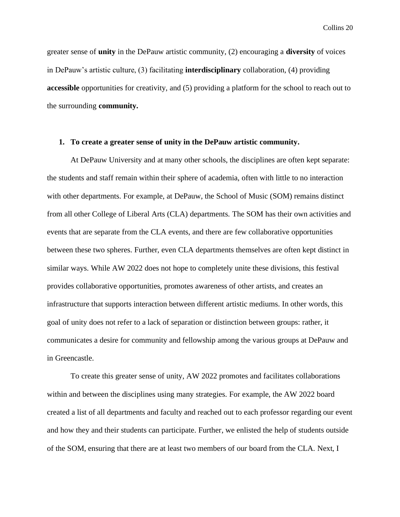greater sense of **unity** in the DePauw artistic community, (2) encouraging a **diversity** of voices in DePauw's artistic culture, (3) facilitating **interdisciplinary** collaboration, (4) providing **accessible** opportunities for creativity, and (5) providing a platform for the school to reach out to the surrounding **community.**

#### **1. To create a greater sense of unity in the DePauw artistic community.**

At DePauw University and at many other schools, the disciplines are often kept separate: the students and staff remain within their sphere of academia, often with little to no interaction with other departments. For example, at DePauw, the School of Music (SOM) remains distinct from all other College of Liberal Arts (CLA) departments. The SOM has their own activities and events that are separate from the CLA events, and there are few collaborative opportunities between these two spheres. Further, even CLA departments themselves are often kept distinct in similar ways. While AW 2022 does not hope to completely unite these divisions, this festival provides collaborative opportunities, promotes awareness of other artists, and creates an infrastructure that supports interaction between different artistic mediums. In other words, this goal of unity does not refer to a lack of separation or distinction between groups: rather, it communicates a desire for community and fellowship among the various groups at DePauw and in Greencastle.

To create this greater sense of unity, AW 2022 promotes and facilitates collaborations within and between the disciplines using many strategies. For example, the AW 2022 board created a list of all departments and faculty and reached out to each professor regarding our event and how they and their students can participate. Further, we enlisted the help of students outside of the SOM, ensuring that there are at least two members of our board from the CLA. Next, I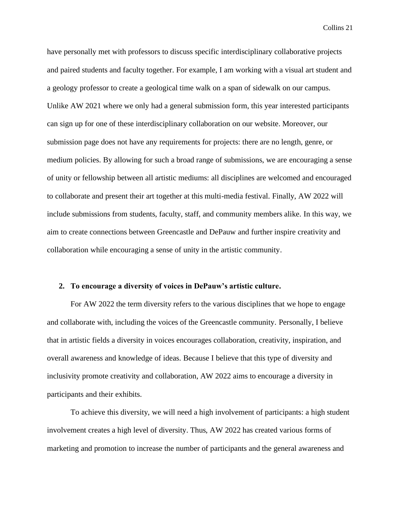have personally met with professors to discuss specific interdisciplinary collaborative projects and paired students and faculty together. For example, I am working with a visual art student and a geology professor to create a geological time walk on a span of sidewalk on our campus. Unlike AW 2021 where we only had a general submission form, this year interested participants can sign up for one of these interdisciplinary collaboration on our website. Moreover, our submission page does not have any requirements for projects: there are no length, genre, or medium policies. By allowing for such a broad range of submissions, we are encouraging a sense of unity or fellowship between all artistic mediums: all disciplines are welcomed and encouraged to collaborate and present their art together at this multi-media festival. Finally, AW 2022 will include submissions from students, faculty, staff, and community members alike. In this way, we aim to create connections between Greencastle and DePauw and further inspire creativity and collaboration while encouraging a sense of unity in the artistic community.

#### **2. To encourage a diversity of voices in DePauw's artistic culture.**

For AW 2022 the term diversity refers to the various disciplines that we hope to engage and collaborate with, including the voices of the Greencastle community. Personally, I believe that in artistic fields a diversity in voices encourages collaboration, creativity, inspiration, and overall awareness and knowledge of ideas. Because I believe that this type of diversity and inclusivity promote creativity and collaboration, AW 2022 aims to encourage a diversity in participants and their exhibits.

To achieve this diversity, we will need a high involvement of participants: a high student involvement creates a high level of diversity. Thus, AW 2022 has created various forms of marketing and promotion to increase the number of participants and the general awareness and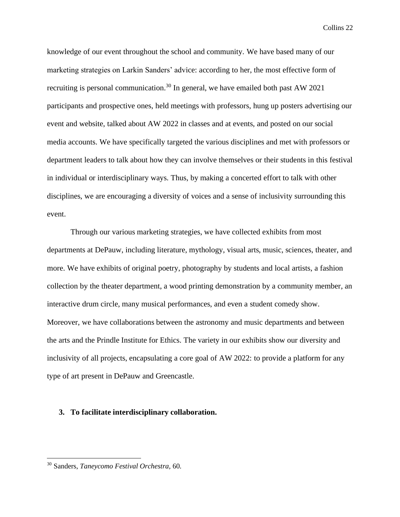knowledge of our event throughout the school and community. We have based many of our marketing strategies on Larkin Sanders' advice: according to her, the most effective form of recruiting is personal communication.<sup>30</sup> In general, we have emailed both past AW 2021 participants and prospective ones, held meetings with professors, hung up posters advertising our event and website, talked about AW 2022 in classes and at events, and posted on our social media accounts. We have specifically targeted the various disciplines and met with professors or department leaders to talk about how they can involve themselves or their students in this festival in individual or interdisciplinary ways. Thus, by making a concerted effort to talk with other disciplines, we are encouraging a diversity of voices and a sense of inclusivity surrounding this event.

Through our various marketing strategies, we have collected exhibits from most departments at DePauw, including literature, mythology, visual arts, music, sciences, theater, and more. We have exhibits of original poetry, photography by students and local artists, a fashion collection by the theater department, a wood printing demonstration by a community member, an interactive drum circle, many musical performances, and even a student comedy show. Moreover, we have collaborations between the astronomy and music departments and between the arts and the Prindle Institute for Ethics. The variety in our exhibits show our diversity and inclusivity of all projects, encapsulating a core goal of AW 2022: to provide a platform for any type of art present in DePauw and Greencastle.

#### **3. To facilitate interdisciplinary collaboration.**

<sup>30</sup> Sanders, *Taneycomo Festival Orchestra,* 60.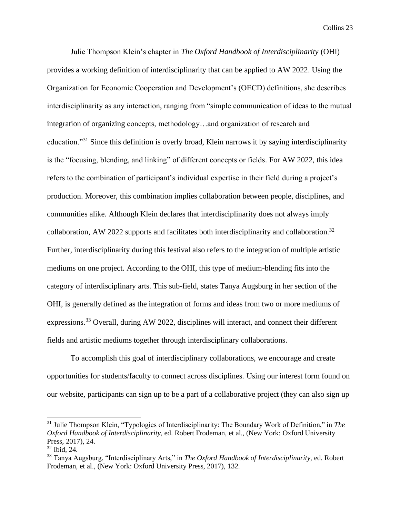Julie Thompson Klein's chapter in *The Oxford Handbook of Interdisciplinarity* (OHI) provides a working definition of interdisciplinarity that can be applied to AW 2022. Using the Organization for Economic Cooperation and Development's (OECD) definitions, she describes interdisciplinarity as any interaction, ranging from "simple communication of ideas to the mutual integration of organizing concepts, methodology…and organization of research and education."<sup>31</sup> Since this definition is overly broad, Klein narrows it by saying interdisciplinarity is the "focusing, blending, and linking" of different concepts or fields. For AW 2022, this idea refers to the combination of participant's individual expertise in their field during a project's production. Moreover, this combination implies collaboration between people, disciplines, and communities alike. Although Klein declares that interdisciplinarity does not always imply collaboration, AW 2022 supports and facilitates both interdisciplinarity and collaboration.<sup>32</sup> Further, interdisciplinarity during this festival also refers to the integration of multiple artistic mediums on one project. According to the OHI, this type of medium-blending fits into the category of interdisciplinary arts. This sub-field, states Tanya Augsburg in her section of the OHI, is generally defined as the integration of forms and ideas from two or more mediums of expressions.<sup>33</sup> Overall, during AW 2022, disciplines will interact, and connect their different fields and artistic mediums together through interdisciplinary collaborations.

To accomplish this goal of interdisciplinary collaborations, we encourage and create opportunities for students/faculty to connect across disciplines. Using our interest form found on our website, participants can sign up to be a part of a collaborative project (they can also sign up

<sup>31</sup> Julie Thompson Klein, "Typologies of Interdisciplinarity: The Boundary Work of Definition," in *The Oxford Handbook of Interdisciplinarity,* ed. Robert Frodeman, et al., (New York: Oxford University Press, 2017), 24.

<sup>32</sup> Ibid, 24.

<sup>33</sup> Tanya Augsburg, "Interdisciplinary Arts," in *The Oxford Handbook of Interdisciplinarity,* ed. Robert Frodeman, et al., (New York: Oxford University Press, 2017), 132.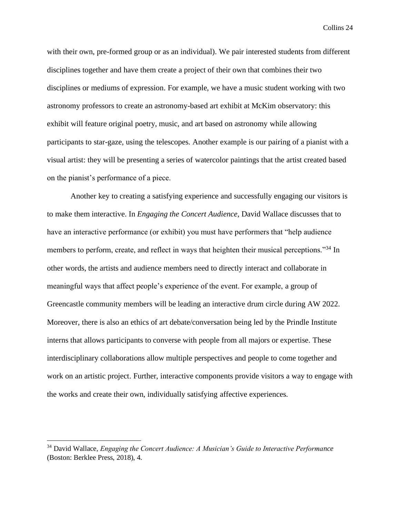with their own, pre-formed group or as an individual). We pair interested students from different disciplines together and have them create a project of their own that combines their two disciplines or mediums of expression. For example, we have a music student working with two astronomy professors to create an astronomy-based art exhibit at McKim observatory: this exhibit will feature original poetry, music, and art based on astronomy while allowing participants to star-gaze, using the telescopes. Another example is our pairing of a pianist with a visual artist: they will be presenting a series of watercolor paintings that the artist created based on the pianist's performance of a piece.

Another key to creating a satisfying experience and successfully engaging our visitors is to make them interactive. In *Engaging the Concert Audience,* David Wallace discusses that to have an interactive performance (or exhibit) you must have performers that "help audience members to perform, create, and reflect in ways that heighten their musical perceptions."<sup>34</sup> In other words, the artists and audience members need to directly interact and collaborate in meaningful ways that affect people's experience of the event. For example, a group of Greencastle community members will be leading an interactive drum circle during AW 2022. Moreover, there is also an ethics of art debate/conversation being led by the Prindle Institute interns that allows participants to converse with people from all majors or expertise. These interdisciplinary collaborations allow multiple perspectives and people to come together and work on an artistic project. Further, interactive components provide visitors a way to engage with the works and create their own, individually satisfying affective experiences.

<sup>34</sup> David Wallace, *Engaging the Concert Audience: A Musician's Guide to Interactive Performance*  (Boston: Berklee Press, 2018), 4.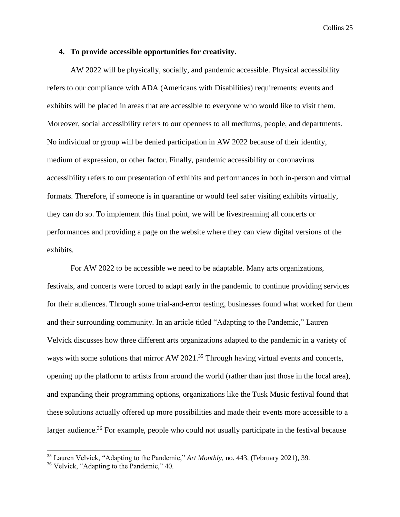#### **4. To provide accessible opportunities for creativity.**

AW 2022 will be physically, socially, and pandemic accessible. Physical accessibility refers to our compliance with ADA (Americans with Disabilities) requirements: events and exhibits will be placed in areas that are accessible to everyone who would like to visit them. Moreover, social accessibility refers to our openness to all mediums, people, and departments. No individual or group will be denied participation in AW 2022 because of their identity, medium of expression, or other factor. Finally, pandemic accessibility or coronavirus accessibility refers to our presentation of exhibits and performances in both in-person and virtual formats. Therefore, if someone is in quarantine or would feel safer visiting exhibits virtually, they can do so. To implement this final point, we will be livestreaming all concerts or performances and providing a page on the website where they can view digital versions of the exhibits.

For AW 2022 to be accessible we need to be adaptable. Many arts organizations, festivals, and concerts were forced to adapt early in the pandemic to continue providing services for their audiences. Through some trial-and-error testing, businesses found what worked for them and their surrounding community. In an article titled "Adapting to the Pandemic," Lauren Velvick discusses how three different arts organizations adapted to the pandemic in a variety of ways with some solutions that mirror AW 2021.<sup>35</sup> Through having virtual events and concerts, opening up the platform to artists from around the world (rather than just those in the local area), and expanding their programming options, organizations like the Tusk Music festival found that these solutions actually offered up more possibilities and made their events more accessible to a larger audience.<sup>36</sup> For example, people who could not usually participate in the festival because

<sup>35</sup> Lauren Velvick, "Adapting to the Pandemic," *Art Monthly*, no. 443, (February 2021), 39.

<sup>&</sup>lt;sup>36</sup> Velvick, "Adapting to the Pandemic," 40.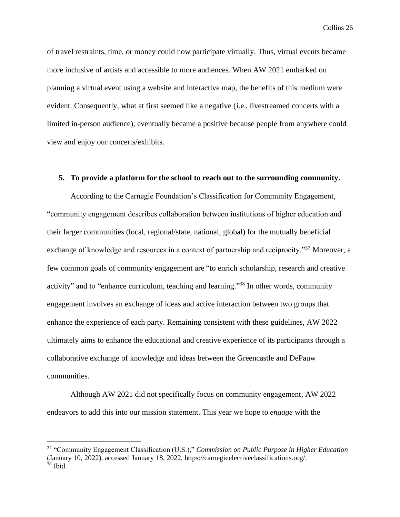of travel restraints, time, or money could now participate virtually. Thus, virtual events became more inclusive of artists and accessible to more audiences. When AW 2021 embarked on planning a virtual event using a website and interactive map, the benefits of this medium were evident. Consequently, what at first seemed like a negative (i.e., livestreamed concerts with a limited in-person audience), eventually became a positive because people from anywhere could view and enjoy our concerts/exhibits.

#### **5. To provide a platform for the school to reach out to the surrounding community.**

According to the Carnegie Foundation's Classification for Community Engagement, "community engagement describes collaboration between institutions of higher education and their larger communities (local, regional/state, national, global) for the mutually beneficial exchange of knowledge and resources in a context of partnership and reciprocity."<sup>37</sup> Moreover, a few common goals of community engagement are "to enrich scholarship, research and creative activity" and to "enhance curriculum, teaching and learning."<sup>38</sup> In other words, community engagement involves an exchange of ideas and active interaction between two groups that enhance the experience of each party. Remaining consistent with these guidelines, AW 2022 ultimately aims to enhance the educational and creative experience of its participants through a collaborative exchange of knowledge and ideas between the Greencastle and DePauw communities.

Although AW 2021 did not specifically focus on community engagement, AW 2022 endeavors to add this into our mission statement. This year we hope to *engage* with the

<sup>37</sup> "Community Engagement Classification (U.S.)," *Commission on Public Purpose in Higher Education* (January 10, 2022), accessed January 18, 2022, https://carnegieelectiveclassifications.org/.  $38$  Ibid.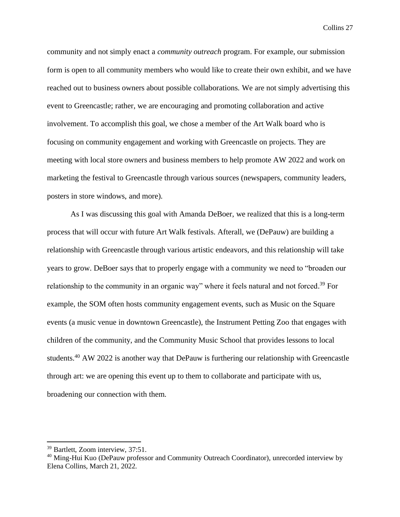community and not simply enact a *community outreach* program. For example, our submission form is open to all community members who would like to create their own exhibit, and we have reached out to business owners about possible collaborations. We are not simply advertising this event to Greencastle; rather, we are encouraging and promoting collaboration and active involvement. To accomplish this goal, we chose a member of the Art Walk board who is focusing on community engagement and working with Greencastle on projects. They are meeting with local store owners and business members to help promote AW 2022 and work on marketing the festival to Greencastle through various sources (newspapers, community leaders, posters in store windows, and more).

As I was discussing this goal with Amanda DeBoer, we realized that this is a long-term process that will occur with future Art Walk festivals. Afterall, we (DePauw) are building a relationship with Greencastle through various artistic endeavors, and this relationship will take years to grow. DeBoer says that to properly engage with a community we need to "broaden our relationship to the community in an organic way" where it feels natural and not forced.<sup>39</sup> For example, the SOM often hosts community engagement events, such as Music on the Square events (a music venue in downtown Greencastle), the Instrument Petting Zoo that engages with children of the community, and the Community Music School that provides lessons to local students.<sup>40</sup> AW 2022 is another way that DePauw is furthering our relationship with Greencastle through art: we are opening this event up to them to collaborate and participate with us, broadening our connection with them.

<sup>&</sup>lt;sup>39</sup> Bartlett, Zoom interview, 37:51.

<sup>&</sup>lt;sup>40</sup> Ming-Hui Kuo (DePauw professor and Community Outreach Coordinator), unrecorded interview by Elena Collins, March 21, 2022.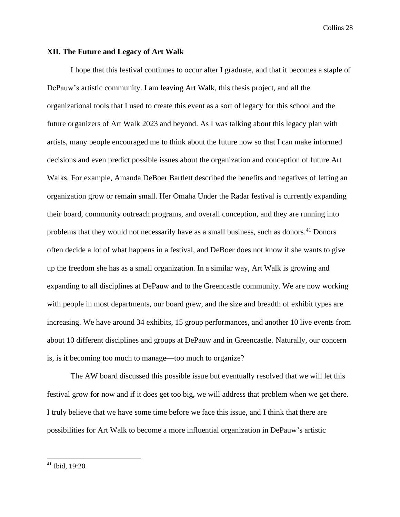#### **XII. The Future and Legacy of Art Walk**

I hope that this festival continues to occur after I graduate, and that it becomes a staple of DePauw's artistic community. I am leaving Art Walk, this thesis project, and all the organizational tools that I used to create this event as a sort of legacy for this school and the future organizers of Art Walk 2023 and beyond. As I was talking about this legacy plan with artists, many people encouraged me to think about the future now so that I can make informed decisions and even predict possible issues about the organization and conception of future Art Walks. For example, Amanda DeBoer Bartlett described the benefits and negatives of letting an organization grow or remain small. Her Omaha Under the Radar festival is currently expanding their board, community outreach programs, and overall conception, and they are running into problems that they would not necessarily have as a small business, such as donors.<sup>41</sup> Donors often decide a lot of what happens in a festival, and DeBoer does not know if she wants to give up the freedom she has as a small organization. In a similar way, Art Walk is growing and expanding to all disciplines at DePauw and to the Greencastle community. We are now working with people in most departments, our board grew, and the size and breadth of exhibit types are increasing. We have around 34 exhibits, 15 group performances, and another 10 live events from about 10 different disciplines and groups at DePauw and in Greencastle. Naturally, our concern is, is it becoming too much to manage—too much to organize?

The AW board discussed this possible issue but eventually resolved that we will let this festival grow for now and if it does get too big, we will address that problem when we get there. I truly believe that we have some time before we face this issue, and I think that there are possibilities for Art Walk to become a more influential organization in DePauw's artistic

<sup>41</sup> Ibid, 19:20.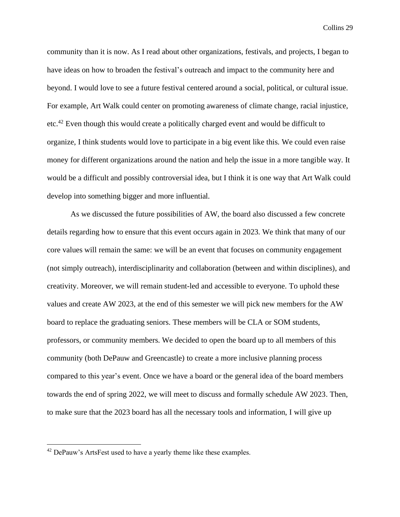community than it is now. As I read about other organizations, festivals, and projects, I began to have ideas on how to broaden the festival's outreach and impact to the community here and beyond. I would love to see a future festival centered around a social, political, or cultural issue. For example, Art Walk could center on promoting awareness of climate change, racial injustice, etc.<sup>42</sup> Even though this would create a politically charged event and would be difficult to organize, I think students would love to participate in a big event like this. We could even raise money for different organizations around the nation and help the issue in a more tangible way. It would be a difficult and possibly controversial idea, but I think it is one way that Art Walk could develop into something bigger and more influential.

As we discussed the future possibilities of AW, the board also discussed a few concrete details regarding how to ensure that this event occurs again in 2023. We think that many of our core values will remain the same: we will be an event that focuses on community engagement (not simply outreach), interdisciplinarity and collaboration (between and within disciplines), and creativity. Moreover, we will remain student-led and accessible to everyone. To uphold these values and create AW 2023, at the end of this semester we will pick new members for the AW board to replace the graduating seniors. These members will be CLA or SOM students, professors, or community members. We decided to open the board up to all members of this community (both DePauw and Greencastle) to create a more inclusive planning process compared to this year's event. Once we have a board or the general idea of the board members towards the end of spring 2022, we will meet to discuss and formally schedule AW 2023. Then, to make sure that the 2023 board has all the necessary tools and information, I will give up

 $42$  DePauw's ArtsFest used to have a yearly theme like these examples.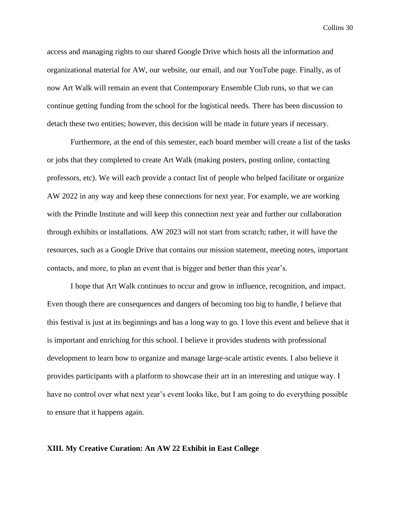access and managing rights to our shared Google Drive which hosts all the information and organizational material for AW, our website, our email, and our YouTube page. Finally, as of now Art Walk will remain an event that Contemporary Ensemble Club runs, so that we can continue getting funding from the school for the logistical needs. There has been discussion to detach these two entities; however, this decision will be made in future years if necessary.

Furthermore, at the end of this semester, each board member will create a list of the tasks or jobs that they completed to create Art Walk (making posters, posting online, contacting professors, etc). We will each provide a contact list of people who helped facilitate or organize AW 2022 in any way and keep these connections for next year. For example, we are working with the Prindle Institute and will keep this connection next year and further our collaboration through exhibits or installations. AW 2023 will not start from scratch; rather, it will have the resources, such as a Google Drive that contains our mission statement, meeting notes, important contacts, and more, to plan an event that is bigger and better than this year's.

I hope that Art Walk continues to occur and grow in influence, recognition, and impact. Even though there are consequences and dangers of becoming too big to handle, I believe that this festival is just at its beginnings and has a long way to go. I love this event and believe that it is important and enriching for this school. I believe it provides students with professional development to learn how to organize and manage large-scale artistic events. I also believe it provides participants with a platform to showcase their art in an interesting and unique way. I have no control over what next year's event looks like, but I am going to do everything possible to ensure that it happens again.

#### **XIII. My Creative Curation: An AW 22 Exhibit in East College**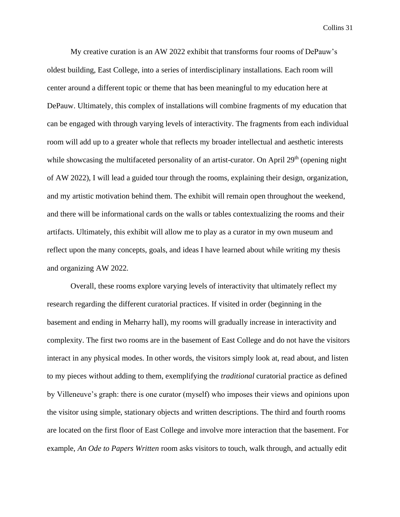My creative curation is an AW 2022 exhibit that transforms four rooms of DePauw's oldest building, East College, into a series of interdisciplinary installations. Each room will center around a different topic or theme that has been meaningful to my education here at DePauw. Ultimately, this complex of installations will combine fragments of my education that can be engaged with through varying levels of interactivity. The fragments from each individual room will add up to a greater whole that reflects my broader intellectual and aesthetic interests while showcasing the multifaceted personality of an artist-curator. On April 29<sup>th</sup> (opening night of AW 2022), I will lead a guided tour through the rooms, explaining their design, organization, and my artistic motivation behind them. The exhibit will remain open throughout the weekend, and there will be informational cards on the walls or tables contextualizing the rooms and their artifacts. Ultimately, this exhibit will allow me to play as a curator in my own museum and reflect upon the many concepts, goals, and ideas I have learned about while writing my thesis and organizing AW 2022.

Overall, these rooms explore varying levels of interactivity that ultimately reflect my research regarding the different curatorial practices. If visited in order (beginning in the basement and ending in Meharry hall), my rooms will gradually increase in interactivity and complexity. The first two rooms are in the basement of East College and do not have the visitors interact in any physical modes. In other words, the visitors simply look at, read about, and listen to my pieces without adding to them, exemplifying the *traditional* curatorial practice as defined by Villeneuve's graph: there is one curator (myself) who imposes their views and opinions upon the visitor using simple, stationary objects and written descriptions. The third and fourth rooms are located on the first floor of East College and involve more interaction that the basement. For example, *An Ode to Papers Written* room asks visitors to touch, walk through, and actually edit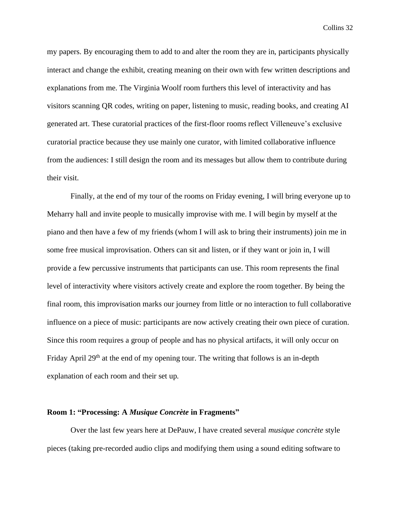my papers. By encouraging them to add to and alter the room they are in, participants physically interact and change the exhibit, creating meaning on their own with few written descriptions and explanations from me. The Virginia Woolf room furthers this level of interactivity and has visitors scanning QR codes, writing on paper, listening to music, reading books, and creating AI generated art. These curatorial practices of the first-floor rooms reflect Villeneuve's exclusive curatorial practice because they use mainly one curator, with limited collaborative influence from the audiences: I still design the room and its messages but allow them to contribute during their visit.

Finally, at the end of my tour of the rooms on Friday evening, I will bring everyone up to Meharry hall and invite people to musically improvise with me. I will begin by myself at the piano and then have a few of my friends (whom I will ask to bring their instruments) join me in some free musical improvisation. Others can sit and listen, or if they want or join in, I will provide a few percussive instruments that participants can use. This room represents the final level of interactivity where visitors actively create and explore the room together. By being the final room, this improvisation marks our journey from little or no interaction to full collaborative influence on a piece of music: participants are now actively creating their own piece of curation. Since this room requires a group of people and has no physical artifacts, it will only occur on Friday April  $29<sup>th</sup>$  at the end of my opening tour. The writing that follows is an in-depth explanation of each room and their set up.

#### **Room 1: "Processing: A** *Musique Concrète* **in Fragments"**

Over the last few years here at DePauw, I have created several *musique concrète* style pieces (taking pre-recorded audio clips and modifying them using a sound editing software to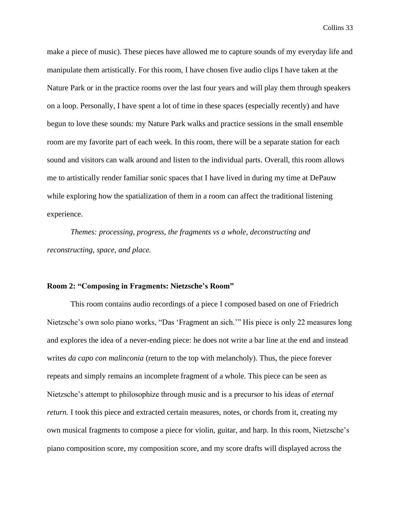make a piece of music). These pieces have allowed me to capture sounds of my everyday life and manipulate them artistically. For this room, I have chosen five audio clips I have taken at the Nature Park or in the practice rooms over the last four years and will play them through speakers on a loop. Personally, I have spent a lot of time in these spaces (especially recently) and have begun to love these sounds: my Nature Park walks and practice sessions in the small ensemble room are my favorite part of each week. In this room, there will be a separate station for each sound and visitors can walk around and listen to the individual parts. Overall, this room allows me to artistically render familiar sonic spaces that I have lived in during my time at DePauw while exploring how the spatialization of them in a room can affect the traditional listening experience.

*Themes: processing, progress, the fragments vs a whole, deconstructing and reconstructing, space, and place.*

#### **Room 2: "Composing in Fragments: Nietzsche's Room"**

This room contains audio recordings of a piece I composed based on one of Friedrich Nietzsche's own solo piano works, "Das 'Fragment an sich.'" His piece is only 22 measures long and explores the idea of a never-ending piece: he does not write a bar line at the end and instead writes *da capo con malinconia* (return to the top with melancholy). Thus, the piece forever repeats and simply remains an incomplete fragment of a whole. This piece can be seen as Nietzsche's attempt to philosophize through music and is a precursor to his ideas of *eternal return.* I took this piece and extracted certain measures, notes, or chords from it, creating my own musical fragments to compose a piece for violin, guitar, and harp. In this room, Nietzsche's piano composition score, my composition score, and my score drafts will displayed across the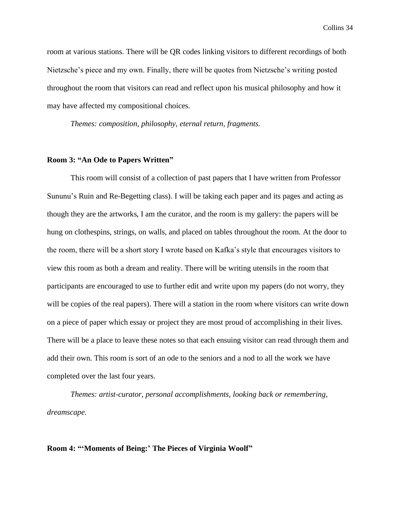room at various stations. There will be QR codes linking visitors to different recordings of both Nietzsche's piece and my own. Finally, there will be quotes from Nietzsche's writing posted throughout the room that visitors can read and reflect upon his musical philosophy and how it may have affected my compositional choices.

*Themes: composition, philosophy, eternal return, fragments.*

#### **Room 3: "An Ode to Papers Written"**

This room will consist of a collection of past papers that I have written from Professor Sununu's Ruin and Re-Begetting class). I will be taking each paper and its pages and acting as though they are the artworks, I am the curator, and the room is my gallery: the papers will be hung on clothespins, strings, on walls, and placed on tables throughout the room. At the door to the room, there will be a short story I wrote based on Kafka's style that encourages visitors to view this room as both a dream and reality. There will be writing utensils in the room that participants are encouraged to use to further edit and write upon my papers (do not worry, they will be copies of the real papers). There will a station in the room where visitors can write down on a piece of paper which essay or project they are most proud of accomplishing in their lives. There will be a place to leave these notes so that each ensuing visitor can read through them and add their own. This room is sort of an ode to the seniors and a nod to all the work we have completed over the last four years.

*Themes: artist-curator, personal accomplishments, looking back or remembering, dreamscape.*

#### **Room 4: "'Moments of Being:' The Pieces of Virginia Woolf"**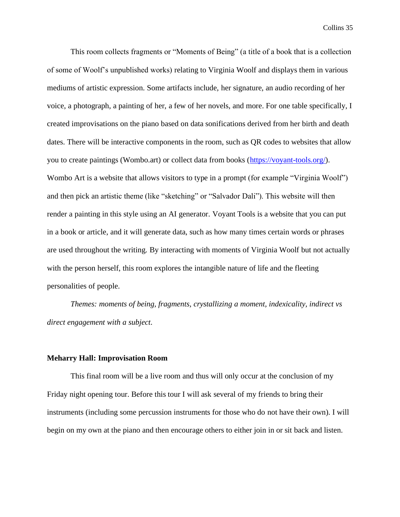This room collects fragments or "Moments of Being" (a title of a book that is a collection of some of Woolf's unpublished works) relating to Virginia Woolf and displays them in various mediums of artistic expression. Some artifacts include, her signature, an audio recording of her voice, a photograph, a painting of her, a few of her novels, and more. For one table specifically, I created improvisations on the piano based on data sonifications derived from her birth and death dates. There will be interactive components in the room, such as QR codes to websites that allow you to create paintings (Wombo.art) or collect data from books [\(https://voyant-tools.org/\)](https://voyant-tools.org/). Wombo Art is a website that allows visitors to type in a prompt (for example "Virginia Woolf") and then pick an artistic theme (like "sketching" or "Salvador Dali"). This website will then render a painting in this style using an AI generator. Voyant Tools is a website that you can put in a book or article, and it will generate data, such as how many times certain words or phrases are used throughout the writing. By interacting with moments of Virginia Woolf but not actually with the person herself, this room explores the intangible nature of life and the fleeting personalities of people.

*Themes: moments of being, fragments, crystallizing a moment, indexicality, indirect vs direct engagement with a subject.*

#### **Meharry Hall: Improvisation Room**

This final room will be a live room and thus will only occur at the conclusion of my Friday night opening tour. Before this tour I will ask several of my friends to bring their instruments (including some percussion instruments for those who do not have their own). I will begin on my own at the piano and then encourage others to either join in or sit back and listen.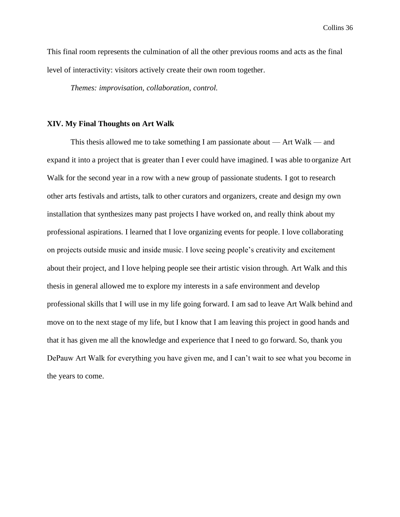This final room represents the culmination of all the other previous rooms and acts as the final level of interactivity: visitors actively create their own room together.

*Themes: improvisation, collaboration, control.*

#### **XIV. My Final Thoughts on Art Walk**

This thesis allowed me to take something I am passionate about — Art Walk — and expand it into a project that is greater than I ever could have imagined. I was able to organize Art Walk for the second year in a row with a new group of passionate students. I got to research other arts festivals and artists, talk to other curators and organizers, create and design my own installation that synthesizes many past projects I have worked on, and really think about my professional aspirations. I learned that I love organizing events for people. I love collaborating on projects outside music and inside music. I love seeing people's creativity and excitement about their project, and I love helping people see their artistic vision through. Art Walk and this thesis in general allowed me to explore my interests in a safe environment and develop professional skills that I will use in my life going forward. I am sad to leave Art Walk behind and move on to the next stage of my life, but I know that I am leaving this project in good hands and that it has given me all the knowledge and experience that I need to go forward. So, thank you DePauw Art Walk for everything you have given me, and I can't wait to see what you become in the years to come.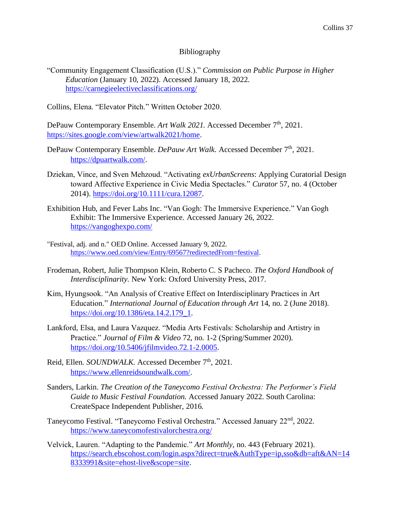#### Bibliography

"Community Engagement Classification (U.S.)." *Commission on Public Purpose in Higher Education* (January 10, 2022). Accessed January 18, 2022. <https://carnegieelectiveclassifications.org/>

Collins, Elena. "Elevator Pitch." Written October 2020.

DePauw Contemporary Ensemble. Art Walk 2021. Accessed December 7<sup>th</sup>, 2021. [https://sites.google.com/view/artwalk2021/home.](https://sites.google.com/view/artwalk2021/home)

- DePauw Contemporary Ensemble. *DePauw Art Walk.* Accessed December 7<sup>th</sup>, 2021. [https://dpuartwalk.com/.](https://dpuartwalk.com/)
- Dziekan, Vince, and Sven Mehzoud. "Activating *exUrbanScreens*: Applying Curatorial Design toward Affective Experience in Civic Media Spectacles." *Curator* 57, no. 4 (October 2014). [https://doi.org/10.1111/cura.12087.](https://doi.org/10.1111/cura.12087)
- Exhibition Hub, and Fever Labs Inc. "Van Gogh: The Immersive Experience." Van Gogh Exhibit: The Immersive Experience. Accessed January 26, 2022. <https://vangoghexpo.com/>
- "Festival, adj. and n." OED Online. Accessed January 9, 2022. [https://www.oed.com/view/Entry/69567?redirectedFrom=festival.](https://www.oed.com/view/Entry/69567?redirectedFrom=festival)
- Frodeman, Robert, Julie Thompson Klein, Roberto C. S Pacheco. *The Oxford Handbook of Interdisciplinarity.* New York: Oxford University Press, 2017.
- Kim, Hyungsook. "An Analysis of Creative Effect on Interdisciplinary Practices in Art Education." *International Journal of Education through Art* 14, no. 2 (June 2018). [https://doi.org/10.1386/eta.14.2.179\\_1.](https://doi.org/10.1386/eta.14.2.179_1)
- Lankford, Elsa, and Laura Vazquez. "Media Arts Festivals: Scholarship and Artistry in Practice." *Journal of Film & Video* 72, no. 1-2 (Spring/Summer 2020). [https://doi.org/10.5406/jfilmvideo.72.1-2.0005.](https://doi.org/10.5406/jfilmvideo.72.1-2.0005)
- Reid, Ellen. *SOUNDWALK*. Accessed December 7<sup>th</sup>, 2021. [https://www.ellenreidsoundwalk.com/.](https://www.ellenreidsoundwalk.com/)
- Sanders, Larkin. *The Creation of the Taneycomo Festival Orchestra: The Performer's Field Guide to Music Festival Foundation.* Accessed January 2022. South Carolina: CreateSpace Independent Publisher, 2016.
- Taneycomo Festival. "Taneycomo Festival Orchestra." Accessed January 22nd, 2022. <https://www.taneycomofestivalorchestra.org/>
- Velvick, Lauren. "Adapting to the Pandemic." *Art Monthly*, no. 443 (February 2021). [https://search.ebscohost.com/login.aspx?direct=true&AuthType=ip,sso&db=aft&AN=14](https://search.ebscohost.com/login.aspx?direct=true&AuthType=ip,sso&db=aft&AN=148333991&site=ehost-live&scope=site) [8333991&site=ehost-live&scope=site.](https://search.ebscohost.com/login.aspx?direct=true&AuthType=ip,sso&db=aft&AN=148333991&site=ehost-live&scope=site)